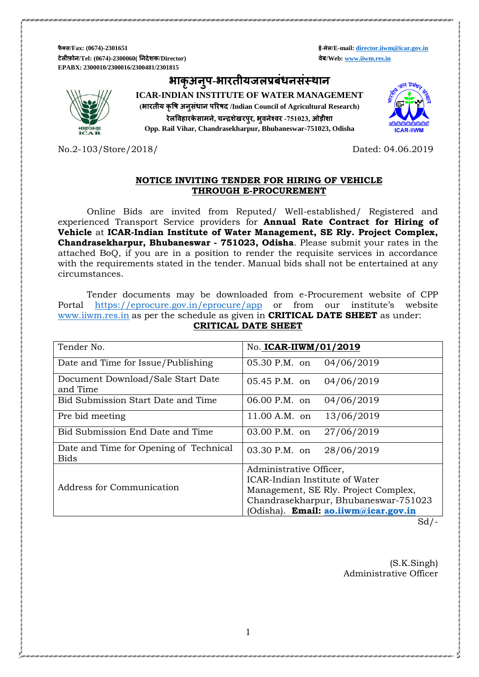**फै क्स/Fax: (0674)-2301651 ई-मेल/E-mail[: director.iiwm@icar.gov.in](mailto:director.iiwm@icar.gov.in) टेलीफ़ोन/Tel: (0674)-2300060( ननदेशक/Director) वेब/Web[: www.iiwm.res.in](http://www.iiwm.res.in/) EPABX: 2300010/2300016/2300481/2301815**

**भाक ृ अनप ु -भारतीयजलप्रबंधनसंस्थान**

**ICAR-INDIAN INSTITUTE OF WATER MANAGEMENT (भारतीय कृषि अनुसधं ान पररिद /Indian Council of Agricultural Research) रेलषवहारके सामने, चन्द्रशेखरपुर, भवुनेश्वर -751023, ओड़ीशा Opp. Rail Vihar, Chandrasekharpur, Bhubaneswar-751023, Odisha**



No.2-103/Store/2018/ Dated: 04.06.2019

### **NOTICE INVITING TENDER FOR HIRING OF VEHICLE THROUGH E-PROCUREMENT**

Online Bids are invited from Reputed/ Well-established/ Registered and experienced Transport Service providers for **Annual Rate Contract for Hiring of Vehicle** at **ICAR-Indian Institute of Water Management, SE Rly. Project Complex, Chandrasekharpur, Bhubaneswar - 751023, Odisha**. Please submit your rates in the attached BoQ, if you are in a position to render the requisite services in accordance with the requirements stated in the tender. Manual bids shall not be entertained at any circumstances.

Tender documents may be downloaded from e-Procurement website of CPP Portal <https://eprocure.gov.in/eprocure/app> or from our institute's website [www.iiwm.res.in](http://www.iiwm.res.in/) as per the schedule as given in **CRITICAL DATE SHEET** as under: **CRITICAL DATE SHEET**

| Tender No.                                            | No. ICAR-IIWM/01/2019                                     |  |  |  |  |  |
|-------------------------------------------------------|-----------------------------------------------------------|--|--|--|--|--|
| Date and Time for Issue/Publishing                    | 05.30 P.M. on<br>04/06/2019                               |  |  |  |  |  |
| Document Download/Sale Start Date<br>and Time         | 05.45 P.M. on<br>04/06/2019                               |  |  |  |  |  |
| Bid Submission Start Date and Time                    | 06.00 P.M. on<br>04/06/2019                               |  |  |  |  |  |
| Pre bid meeting                                       | 13/06/2019<br>$11.00 A.M.$ on                             |  |  |  |  |  |
| Bid Submission End Date and Time                      | 03.00 P.M. on<br>27/06/2019                               |  |  |  |  |  |
| Date and Time for Opening of Technical<br><b>Bids</b> | 03.30 P.M. on<br>28/06/2019                               |  |  |  |  |  |
|                                                       | Administrative Officer,<br>ICAR-Indian Institute of Water |  |  |  |  |  |
| Address for Communication                             | Management, SE Rly. Project Complex,                      |  |  |  |  |  |
|                                                       | Chandrasekharpur, Bhubaneswar-751023                      |  |  |  |  |  |
|                                                       | (Odisha). Email: ao.iiwm@icar.gov.in                      |  |  |  |  |  |

 $Sd$  /-

(S.K.Singh) Administrative Officer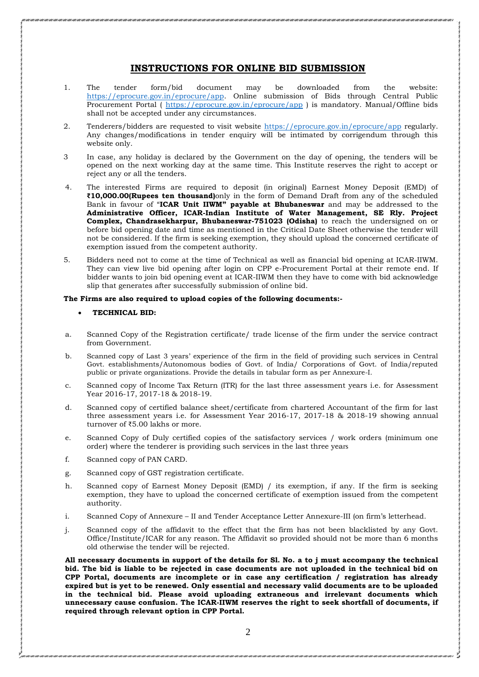### **INSTRUCTIONS FOR ONLINE BID SUBMISSION**

- 1. The tender form/bid document may be downloaded from the website: [https://eprocure.gov.in/eprocure/app.](https://eprocure.gov.in/eprocure/app) Online submission of Bids through Central Public Procurement Portal (<https://eprocure.gov.in/eprocure/app> ) is mandatory. Manual/Offline bids shall not be accepted under any circumstances.
- 2. Tenderers/bidders are requested to visit website<https://eprocure.gov.in/eprocure/app> regularly. Any changes/modifications in tender enquiry will be intimated by corrigendum through this website only.
- 3 In case, any holiday is declared by the Government on the day of opening, the tenders will be opened on the next working day at the same time. This Institute reserves the right to accept or reject any or all the tenders.
- 4. The interested Firms are required to deposit (in original) Earnest Money Deposit (EMD) of **₹10,000.00(Rupees ten thousand)**only in the form of Demand Draft from any of the scheduled Bank in favour of "**ICAR Unit IIWM" payable at Bhubaneswar** and may be addressed to the **Administrative Officer, ICAR-Indian Institute of Water Management, SE Rly. Project Complex, Chandrasekharpur, Bhubaneswar-751023 (Odisha)** to reach the undersigned on or before bid opening date and time as mentioned in the Critical Date Sheet otherwise the tender will not be considered. If the firm is seeking exemption, they should upload the concerned certificate of exemption issued from the competent authority.
- 5. Bidders need not to come at the time of Technical as well as financial bid opening at ICAR-IIWM. They can view live bid opening after login on CPP e-Procurement Portal at their remote end. If bidder wants to join bid opening event at ICAR-IIWM then they have to come with bid acknowledge slip that generates after successfully submission of online bid.

### **The Firms are also required to upload copies of the following documents:-**

#### **TECHNICAL BID:**

- a. Scanned Copy of the Registration certificate/ trade license of the firm under the service contract from Government.
- b. Scanned copy of Last 3 years' experience of the firm in the field of providing such services in Central Govt. establishments/Autonomous bodies of Govt. of India/ Corporations of Govt. of India/reputed public or private organizations. Provide the details in tabular form as per Annexure-I.
- c. Scanned copy of Income Tax Return (ITR) for the last three assessment years i.e. for Assessment Year 2016-17, 2017-18 & 2018-19.
- d. Scanned copy of certified balance sheet/certificate from chartered Accountant of the firm for last three assessment years i.e. for Assessment Year 2016-17, 2017-18 & 2018-19 showing annual turnover of ₹5.00 lakhs or more.
- e. Scanned Copy of Duly certified copies of the satisfactory services / work orders (minimum one order) where the tenderer is providing such services in the last three years
- f. Scanned copy of PAN CARD.
- g. Scanned copy of GST registration certificate.
- h. Scanned copy of Earnest Money Deposit (EMD) / its exemption, if any. If the firm is seeking exemption, they have to upload the concerned certificate of exemption issued from the competent authority.
- i. Scanned Copy of Annexure II and Tender Acceptance Letter Annexure-III (on firm's letterhead.
- j. Scanned copy of the affidavit to the effect that the firm has not been blacklisted by any Govt. Office/Institute/ICAR for any reason. The Affidavit so provided should not be more than 6 months old otherwise the tender will be rejected.

**All necessary documents in support of the details for Sl. No. a to j must accompany the technical bid. The bid is liable to be rejected in case documents are not uploaded in the technical bid on CPP Portal, documents are incomplete or in case any certification / registration has already expired but is yet to be renewed. Only essential and necessary valid documents are to be uploaded in the technical bid. Please avoid uploading extraneous and irrelevant documents which unnecessary cause confusion. The ICAR-IIWM reserves the right to seek shortfall of documents, if required through relevant option in CPP Portal.**

2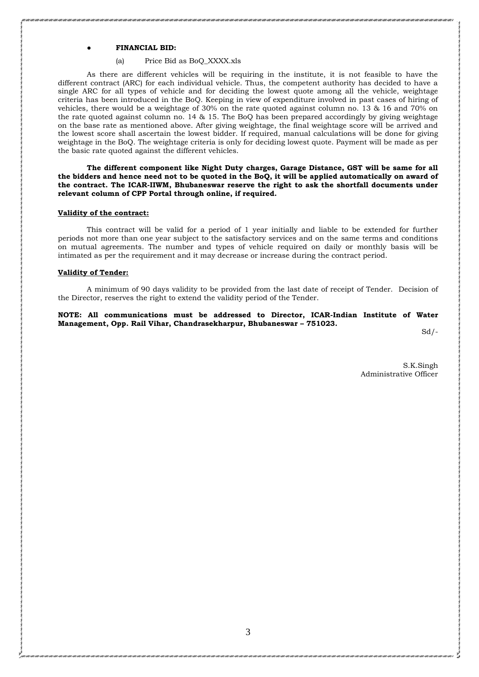### ● **FINANCIAL BID:**

### (a) Price Bid as BoQ\_XXXX.xls

As there are different vehicles will be requiring in the institute, it is not feasible to have the different contract (ARC) for each individual vehicle. Thus, the competent authority has decided to have a single ARC for all types of vehicle and for deciding the lowest quote among all the vehicle, weightage criteria has been introduced in the BoQ. Keeping in view of expenditure involved in past cases of hiring of vehicles, there would be a weightage of 30% on the rate quoted against column no. 13 & 16 and 70% on the rate quoted against column no. 14 & 15. The BoQ has been prepared accordingly by giving weightage on the base rate as mentioned above. After giving weightage, the final weightage score will be arrived and the lowest score shall ascertain the lowest bidder. If required, manual calculations will be done for giving weightage in the BoQ. The weightage criteria is only for deciding lowest quote. Payment will be made as per the basic rate quoted against the different vehicles.

**The different component like Night Duty charges, Garage Distance, GST will be same for all the bidders and hence need not to be quoted in the BoQ, it will be applied automatically on award of the contract. The ICAR-IIWM, Bhubaneswar reserve the right to ask the shortfall documents under relevant column of CPP Portal through online, if required.**

#### **Validity of the contract:**

This contract will be valid for a period of 1 year initially and liable to be extended for further periods not more than one year subject to the satisfactory services and on the same terms and conditions on mutual agreements. The number and types of vehicle required on daily or monthly basis will be intimated as per the requirement and it may decrease or increase during the contract period.

#### **Validity of Tender:**

A minimum of 90 days validity to be provided from the last date of receipt of Tender. Decision of the Director, reserves the right to extend the validity period of the Tender.

### **NOTE: All communications must be addressed to Director, ICAR-Indian Institute of Water Management, Opp. Rail Vihar, Chandrasekharpur, Bhubaneswar – 751023.**

 $Sd$  /-

S.K.Singh Administrative Officer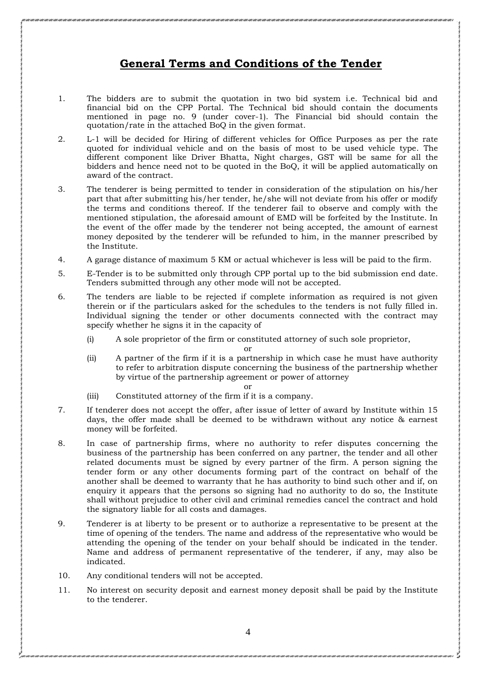# **General Terms and Conditions of the Tender**

- 1. The bidders are to submit the quotation in two bid system i.e. Technical bid and financial bid on the CPP Portal. The Technical bid should contain the documents mentioned in page no. 9 (under cover-1). The Financial bid should contain the quotation/rate in the attached BoQ in the given format.
- 2. L-1 will be decided for Hiring of different vehicles for Office Purposes as per the rate quoted for individual vehicle and on the basis of most to be used vehicle type. The different component like Driver Bhatta, Night charges, GST will be same for all the bidders and hence need not to be quoted in the BoQ, it will be applied automatically on award of the contract.
- 3. The tenderer is being permitted to tender in consideration of the stipulation on his/her part that after submitting his/her tender, he/she will not deviate from his offer or modify the terms and conditions thereof. If the tenderer fail to observe and comply with the mentioned stipulation, the aforesaid amount of EMD will be forfeited by the Institute. In the event of the offer made by the tenderer not being accepted, the amount of earnest money deposited by the tenderer will be refunded to him, in the manner prescribed by the Institute.
- 4. A garage distance of maximum 5 KM or actual whichever is less will be paid to the firm.
- 5. E-Tender is to be submitted only through CPP portal up to the bid submission end date. Tenders submitted through any other mode will not be accepted.
- 6. The tenders are liable to be rejected if complete information as required is not given therein or if the particulars asked for the schedules to the tenders is not fully filled in. Individual signing the tender or other documents connected with the contract may specify whether he signs it in the capacity of
	- (i) A sole proprietor of the firm or constituted attorney of such sole proprietor,

or

- (ii) A partner of the firm if it is a partnership in which case he must have authority to refer to arbitration dispute concerning the business of the partnership whether by virtue of the partnership agreement or power of attorney
- (iii) Constituted attorney of the firm if it is a company.
- 7. If tenderer does not accept the offer, after issue of letter of award by Institute within 15 days, the offer made shall be deemed to be withdrawn without any notice & earnest money will be forfeited.

or

- 8. In case of partnership firms, where no authority to refer disputes concerning the business of the partnership has been conferred on any partner, the tender and all other related documents must be signed by every partner of the firm. A person signing the tender form or any other documents forming part of the contract on behalf of the another shall be deemed to warranty that he has authority to bind such other and if, on enquiry it appears that the persons so signing had no authority to do so, the Institute shall without prejudice to other civil and criminal remedies cancel the contract and hold the signatory liable for all costs and damages.
- 9. Tenderer is at liberty to be present or to authorize a representative to be present at the time of opening of the tenders. The name and address of the representative who would be attending the opening of the tender on your behalf should be indicated in the tender. Name and address of permanent representative of the tenderer, if any, may also be indicated.
- 10. Any conditional tenders will not be accepted.
- 11. No interest on security deposit and earnest money deposit shall be paid by the Institute to the tenderer.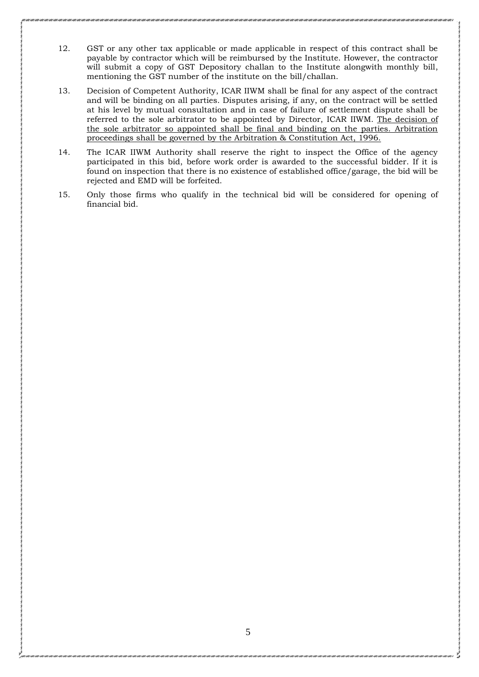- 12. GST or any other tax applicable or made applicable in respect of this contract shall be payable by contractor which will be reimbursed by the Institute. However, the contractor will submit a copy of GST Depository challan to the Institute alongwith monthly bill, mentioning the GST number of the institute on the bill/challan.
- 13. Decision of Competent Authority, ICAR IIWM shall be final for any aspect of the contract and will be binding on all parties. Disputes arising, if any, on the contract will be settled at his level by mutual consultation and in case of failure of settlement dispute shall be referred to the sole arbitrator to be appointed by Director, ICAR IIWM. The decision of the sole arbitrator so appointed shall be final and binding on the parties. Arbitration proceedings shall be governed by the Arbitration & Constitution Act, 1996.
- 14. The ICAR IIWM Authority shall reserve the right to inspect the Office of the agency participated in this bid, before work order is awarded to the successful bidder. If it is found on inspection that there is no existence of established office/garage, the bid will be rejected and EMD will be forfeited.
- 15. Only those firms who qualify in the technical bid will be considered for opening of financial bid.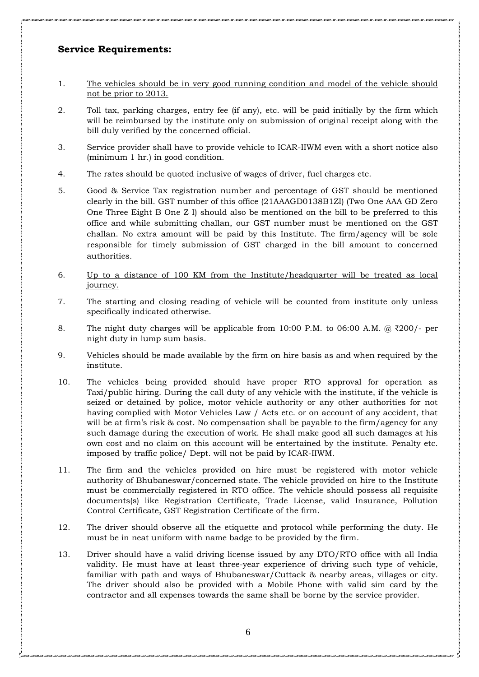### **Service Requirements:**

- 1. The vehicles should be in very good running condition and model of the vehicle should not be prior to 2013.
- 2. Toll tax, parking charges, entry fee (if any), etc. will be paid initially by the firm which will be reimbursed by the institute only on submission of original receipt along with the bill duly verified by the concerned official.
- 3. Service provider shall have to provide vehicle to ICAR-IIWM even with a short notice also (minimum 1 hr.) in good condition.
- 4. The rates should be quoted inclusive of wages of driver, fuel charges etc.
- 5. Good & Service Tax registration number and percentage of GST should be mentioned clearly in the bill. GST number of this office (21AAAGD0138B1ZI) (Two One AAA GD Zero One Three Eight B One Z I) should also be mentioned on the bill to be preferred to this office and while submitting challan, our GST number must be mentioned on the GST challan. No extra amount will be paid by this Institute. The firm/agency will be sole responsible for timely submission of GST charged in the bill amount to concerned authorities.
- 6. Up to a distance of 100 KM from the Institute/headquarter will be treated as local journey.
- 7. The starting and closing reading of vehicle will be counted from institute only unless specifically indicated otherwise.
- 8. The night duty charges will be applicable from 10:00 P.M. to 06:00 A.M. @  $\text{\textdegree{200}}$ /- per night duty in lump sum basis.
- 9. Vehicles should be made available by the firm on hire basis as and when required by the institute.
- 10. The vehicles being provided should have proper RTO approval for operation as Taxi/public hiring. During the call duty of any vehicle with the institute, if the vehicle is seized or detained by police, motor vehicle authority or any other authorities for not having complied with Motor Vehicles Law / Acts etc. or on account of any accident, that will be at firm's risk & cost. No compensation shall be payable to the firm/agency for any such damage during the execution of work. He shall make good all such damages at his own cost and no claim on this account will be entertained by the institute. Penalty etc. imposed by traffic police/ Dept. will not be paid by ICAR-IIWM.
- 11. The firm and the vehicles provided on hire must be registered with motor vehicle authority of Bhubaneswar/concerned state. The vehicle provided on hire to the Institute must be commercially registered in RTO office. The vehicle should possess all requisite documents(s) like Registration Certificate, Trade License, valid Insurance, Pollution Control Certificate, GST Registration Certificate of the firm.
- 12. The driver should observe all the etiquette and protocol while performing the duty. He must be in neat uniform with name badge to be provided by the firm.
- 13. Driver should have a valid driving license issued by any DTO/RTO office with all India validity. He must have at least three-year experience of driving such type of vehicle, familiar with path and ways of Bhubaneswar/Cuttack & nearby areas, villages or city. The driver should also be provided with a Mobile Phone with valid sim card by the contractor and all expenses towards the same shall be borne by the service provider.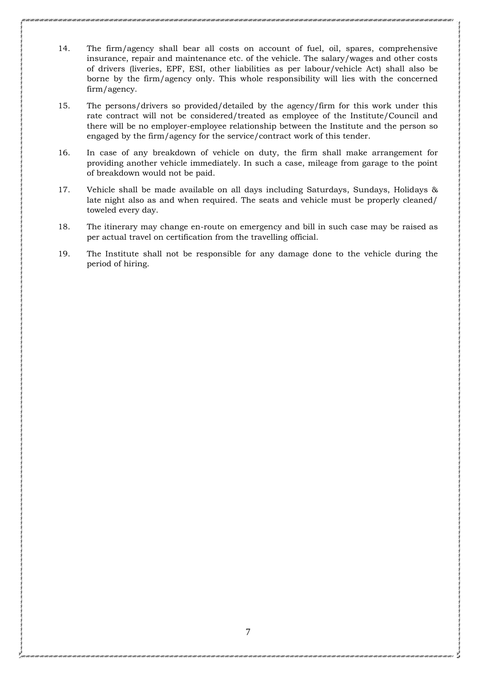- 14. The firm/agency shall bear all costs on account of fuel, oil, spares, comprehensive insurance, repair and maintenance etc. of the vehicle. The salary/wages and other costs of drivers (liveries, EPF, ESI, other liabilities as per labour/vehicle Act) shall also be borne by the firm/agency only. This whole responsibility will lies with the concerned firm/agency.
- 15. The persons/drivers so provided/detailed by the agency/firm for this work under this rate contract will not be considered/treated as employee of the Institute/Council and there will be no employer-employee relationship between the Institute and the person so engaged by the firm/agency for the service/contract work of this tender.
- 16. In case of any breakdown of vehicle on duty, the firm shall make arrangement for providing another vehicle immediately. In such a case, mileage from garage to the point of breakdown would not be paid.
- 17. Vehicle shall be made available on all days including Saturdays, Sundays, Holidays & late night also as and when required. The seats and vehicle must be properly cleaned/ toweled every day.
- 18. The itinerary may change en-route on emergency and bill in such case may be raised as per actual travel on certification from the travelling official.
- 19. The Institute shall not be responsible for any damage done to the vehicle during the period of hiring.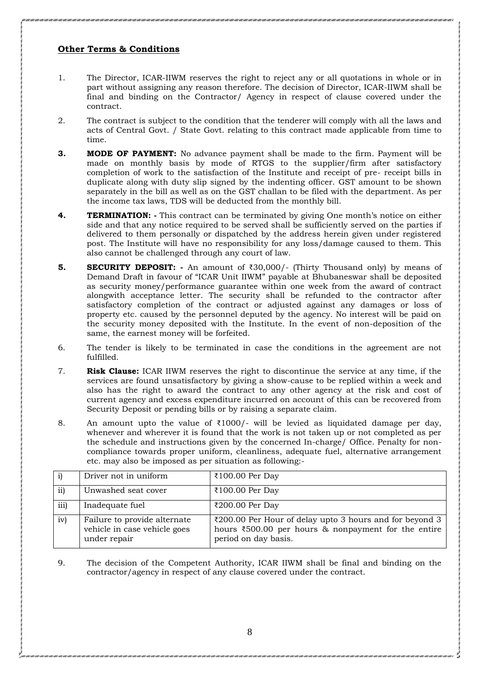### **Other Terms & Conditions**

- 1. The Director, ICAR-IIWM reserves the right to reject any or all quotations in whole or in part without assigning any reason therefore. The decision of Director, ICAR-IIWM shall be final and binding on the Contractor/ Agency in respect of clause covered under the contract.
- 2. The contract is subject to the condition that the tenderer will comply with all the laws and acts of Central Govt. / State Govt. relating to this contract made applicable from time to time.
- **3. MODE OF PAYMENT:** No advance payment shall be made to the firm. Payment will be made on monthly basis by mode of RTGS to the supplier/firm after satisfactory completion of work to the satisfaction of the Institute and receipt of pre- receipt bills in duplicate along with duty slip signed by the indenting officer. GST amount to be shown separately in the bill as well as on the GST challan to be filed with the department. As per the income tax laws, TDS will be deducted from the monthly bill.
- **4. TERMINATION: -** This contract can be terminated by giving One month's notice on either side and that any notice required to be served shall be sufficiently served on the parties if delivered to them personally or dispatched by the address herein given under registered post. The Institute will have no responsibility for any loss/damage caused to them. This also cannot be challenged through any court of law.
- **5. SECURITY DEPOSIT: -** An amount of ₹30,000/- (Thirty Thousand only) by means of Demand Draft in favour of "ICAR Unit IIWM" payable at Bhubaneswar shall be deposited as security money/performance guarantee within one week from the award of contract alongwith acceptance letter. The security shall be refunded to the contractor after satisfactory completion of the contract or adjusted against any damages or loss of property etc. caused by the personnel deputed by the agency. No interest will be paid on the security money deposited with the Institute. In the event of non-deposition of the same, the earnest money will be forfeited.
- 6. The tender is likely to be terminated in case the conditions in the agreement are not fulfilled.
- 7. **Risk Clause:** ICAR IIWM reserves the right to discontinue the service at any time, if the services are found unsatisfactory by giving a show-cause to be replied within a week and also has the right to award the contract to any other agency at the risk and cost of current agency and excess expenditure incurred on account of this can be recovered from Security Deposit or pending bills or by raising a separate claim.
- 8. An amount upto the value of  $\overline{\xi}1000$ /- will be levied as liquidated damage per day, whenever and wherever it is found that the work is not taken up or not completed as per the schedule and instructions given by the concerned In-charge/ Office. Penalty for noncompliance towards proper uniform, cleanliness, adequate fuel, alternative arrangement etc. may also be imposed as per situation as following:-

|      | Driver not in uniform                                                        | ₹100.00 Per Day                                                                                                                        |
|------|------------------------------------------------------------------------------|----------------------------------------------------------------------------------------------------------------------------------------|
| ii)  | Unwashed seat cover                                                          | ₹100.00 Per Day                                                                                                                        |
| iii) | Inadequate fuel                                                              | ₹200.00 Per Day                                                                                                                        |
| iv)  | Failure to provide alternate<br>vehicle in case vehicle goes<br>under repair | ₹200.00 Per Hour of delay upto 3 hours and for beyond 3<br>hours ₹500.00 per hours & nonpayment for the entire<br>period on day basis. |

9. The decision of the Competent Authority, ICAR IIWM shall be final and binding on the contractor/agency in respect of any clause covered under the contract.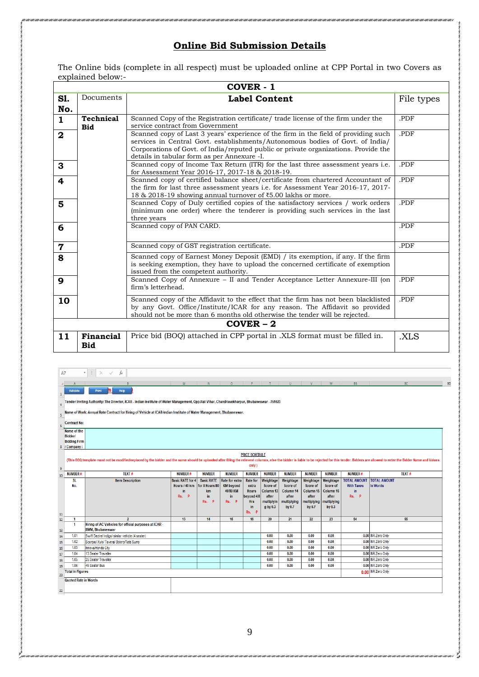# **Online Bid Submission Details**

The Online bids (complete in all respect) must be uploaded online at CPP Portal in two Covers as explained below:-

|                         | <b>COVER - 1</b>        |                                                                                                                                                                                                                                                                                                            |            |  |  |  |  |  |  |
|-------------------------|-------------------------|------------------------------------------------------------------------------------------------------------------------------------------------------------------------------------------------------------------------------------------------------------------------------------------------------------|------------|--|--|--|--|--|--|
| <b>S1.</b><br>No.       | Documents               | <b>Label Content</b>                                                                                                                                                                                                                                                                                       | File types |  |  |  |  |  |  |
| $\mathbf{1}$            | Technical<br><b>Bid</b> | Scanned Copy of the Registration certificate/ trade license of the firm under the<br>.PDF<br>service contract from Government                                                                                                                                                                              |            |  |  |  |  |  |  |
| $\overline{\mathbf{2}}$ |                         | Scanned copy of Last 3 years' experience of the firm in the field of providing such<br>services in Central Govt. establishments/Autonomous bodies of Govt. of India/<br>Corporations of Govt. of India/reputed public or private organizations. Provide the<br>details in tabular form as per Annexure -I. | .PDF       |  |  |  |  |  |  |
| $\mathbf{3}$            |                         | Scanned copy of Income Tax Return (ITR) for the last three assessment years <i>i.e.</i><br>for Assessment Year 2016-17, 2017-18 & 2018-19.                                                                                                                                                                 | .PDF       |  |  |  |  |  |  |
| $\overline{\bf 4}$      |                         | Scanned copy of certified balance sheet/certificate from chartered Accountant of<br>the firm for last three assessment years <i>i.e.</i> for Assessment Year 2016-17, 2017-<br>18 & 2018-19 showing annual turnover of ₹5.00 lakhs or more.                                                                | .PDF       |  |  |  |  |  |  |
| $5\phantom{1}$          |                         | Scanned Copy of Duly certified copies of the satisfactory services / work orders<br>(minimum one order) where the tenderer is providing such services in the last<br>three years                                                                                                                           | .PDF       |  |  |  |  |  |  |
| $6\phantom{1}6$         |                         | Scanned copy of PAN CARD.                                                                                                                                                                                                                                                                                  | .PDF       |  |  |  |  |  |  |
| $\overline{7}$          |                         | Scanned copy of GST registration certificate.                                                                                                                                                                                                                                                              | .PDF       |  |  |  |  |  |  |
| 8                       |                         | Scanned copy of Earnest Money Deposit (EMD) / its exemption, if any. If the firm<br>is seeking exemption, they have to upload the concerned certificate of exemption<br>issued from the competent authority.                                                                                               |            |  |  |  |  |  |  |
| 9                       |                         | Scanned Copy of Annexure - II and Tender Acceptance Letter Annexure-III (on<br>firm's letterhead.                                                                                                                                                                                                          | .PDF       |  |  |  |  |  |  |
| 10                      |                         | Scanned copy of the Affidavit to the effect that the firm has not been blacklisted<br>by any Govt. Office/Institute/ICAR for any reason. The Affidavit so provided<br>should not be more than 6 months old otherwise the tender will be rejected.                                                          | .PDF       |  |  |  |  |  |  |
|                         | $COVER - 2$             |                                                                                                                                                                                                                                                                                                            |            |  |  |  |  |  |  |
| 11                      | Financial<br><b>Bid</b> | Price bid (BOQ) attached in CPP portal in .XLS format must be filled in.                                                                                                                                                                                                                                   | .XLS       |  |  |  |  |  |  |

| A7                    |                                                                                                                                                                                                                                                                  | fx<br>$\times$ $\checkmark$                                                       |                                                        |                                                                     |                                                                |                                                                                                   |                                                                       |                                                                      |                                                                      |                                                                        |                                                                        |                                 |       |           |
|-----------------------|------------------------------------------------------------------------------------------------------------------------------------------------------------------------------------------------------------------------------------------------------------------|-----------------------------------------------------------------------------------|--------------------------------------------------------|---------------------------------------------------------------------|----------------------------------------------------------------|---------------------------------------------------------------------------------------------------|-----------------------------------------------------------------------|----------------------------------------------------------------------|----------------------------------------------------------------------|------------------------------------------------------------------------|------------------------------------------------------------------------|---------------------------------|-------|-----------|
|                       |                                                                                                                                                                                                                                                                  | B                                                                                 | M                                                      | $N$ and $N$                                                         |                                                                |                                                                                                   |                                                                       | $0$ $P$ $T$ $U$ $V$                                                  |                                                                      | W II                                                                   | <b>BB</b>                                                              |                                 | BC.   | <b>BD</b> |
| 1                     | Validate                                                                                                                                                                                                                                                         | Print<br>m<br>Help                                                                |                                                        |                                                                     |                                                                |                                                                                                   |                                                                       |                                                                      |                                                                      |                                                                        |                                                                        |                                 |       |           |
|                       | Tender Inviting Authority: The Director, ICAR - Indian Institute of Water Management, Opp.Rail Vihar, Chandrasekharpur, Bhubaneswar - 751023                                                                                                                     |                                                                                   |                                                        |                                                                     |                                                                |                                                                                                   |                                                                       |                                                                      |                                                                      |                                                                        |                                                                        |                                 |       |           |
| 5                     | Name of Work: Annual Rate Contract for Hiring of Vehicle at ICAR-Indian Institute of Water Management, Bhubaneswar.                                                                                                                                              |                                                                                   |                                                        |                                                                     |                                                                |                                                                                                   |                                                                       |                                                                      |                                                                      |                                                                        |                                                                        |                                 |       |           |
| 6                     | <b>Contract No:</b>                                                                                                                                                                                                                                              |                                                                                   |                                                        |                                                                     |                                                                |                                                                                                   |                                                                       |                                                                      |                                                                      |                                                                        |                                                                        |                                 |       |           |
|                       | Name of the<br><b>Bidder/</b><br><b>Bidding Firm</b>                                                                                                                                                                                                             |                                                                                   |                                                        |                                                                     |                                                                |                                                                                                   |                                                                       |                                                                      |                                                                      |                                                                        |                                                                        |                                 |       |           |
|                       | 8 / Company:                                                                                                                                                                                                                                                     |                                                                                   |                                                        |                                                                     |                                                                |                                                                                                   |                                                                       |                                                                      |                                                                      |                                                                        |                                                                        |                                 |       |           |
| 9                     | <b>PRICE SCHEDULE</b><br>(This BOQ template must not be modified/replaced by the bidder and the same should be uploaded after filling the relevent columns, else the bidder is liable to be rejected for this tender. Bidders are allowed to enter the<br>only ) |                                                                                   |                                                        |                                                                     |                                                                |                                                                                                   |                                                                       |                                                                      |                                                                      |                                                                        |                                                                        |                                 |       |           |
| 10 <sup>°</sup>       | <b>NUMBER#</b>                                                                                                                                                                                                                                                   | TEXT#                                                                             | <b>NUMBER#</b>                                         | <b>NUMBER</b>                                                       | <b>NUMBER</b>                                                  | <b>NUMBER</b>                                                                                     | <b>NUMBER</b>                                                         | <b>NUMBER</b>                                                        | <b>NUMBER</b>                                                        | <b>NUMBER</b>                                                          | <b>NUMBER#</b>                                                         |                                 | TEXT# |           |
|                       | SI.<br>No.                                                                                                                                                                                                                                                       | <b>Item Description</b>                                                           | <b>Basic RATE for 4</b><br>Hours / 40 km<br>in.<br>Rs. | <b>Basic RATE</b><br>for 8 Hours/80<br>km<br>in.<br><b>P</b><br>Rs. | Rate for extra<br><b>KM</b> beyond<br>40/80 KM<br>in.<br>Rs. P | <b>Rate for</b><br>extra<br><b>Hours</b><br>beyond 4/8<br><b>Hrs</b><br>in<br>$\mathbf{P}$<br>Rs. | Weightage<br>Score of<br>Column 13<br>after<br>multiplyin<br>g by 0.3 | Weightage<br>Score of<br>Column 14<br>after<br>multiplying<br>by 0.7 | Weightage<br>Score of<br>Column 15<br>after<br>multiplying<br>by 0.7 | Weightage<br>Score of<br>Column 16<br>after<br>nultiplying<br>by $0.3$ | <b>TOTAL AMOUNT</b><br><b>With Taxes</b><br>in.<br>Rs.<br>$\mathbf{P}$ | <b>TOTAL AMOUNT</b><br>In Words |       |           |
| 11<br>12 <sub>2</sub> | $\blacktriangleleft$                                                                                                                                                                                                                                             | $\overline{2}$                                                                    | 13                                                     | 14                                                                  | 15                                                             | 16                                                                                                | 20                                                                    | 21                                                                   | 22                                                                   | 23                                                                     | 54                                                                     |                                 | 55    |           |
| 13                    | -1                                                                                                                                                                                                                                                               | Hiring of AC Vehicles for official purposes at ICAR -<br><b>IIWM. Bhubaneswar</b> |                                                        |                                                                     |                                                                |                                                                                                   |                                                                       |                                                                      |                                                                      |                                                                        |                                                                        |                                 |       |           |
| 14                    | 1.01                                                                                                                                                                                                                                                             | Swift Dezire/ Indigo/ similar vehicle (4 seater)                                  |                                                        |                                                                     |                                                                |                                                                                                   | 0.00                                                                  | 0.00                                                                 | 0.00                                                                 | 0.00                                                                   |                                                                        | 0.00 INR Zero Only              |       |           |
| 15                    | 1.02                                                                                                                                                                                                                                                             | Scorpio/ Xylo/ Tavera/ Bolero/Tata Sumo                                           |                                                        |                                                                     |                                                                |                                                                                                   | 0.00                                                                  | 0.00                                                                 | 0.00                                                                 | 0.00                                                                   |                                                                        | 0.00 INR Zero Only              |       |           |
| 16                    | 1.03                                                                                                                                                                                                                                                             | Innova/Honda City                                                                 |                                                        |                                                                     |                                                                |                                                                                                   | 0.00                                                                  | 0.00                                                                 | 0.00                                                                 | 0.00                                                                   |                                                                        | 0.00 INR Zero Only              |       |           |
| 17                    | 1.04                                                                                                                                                                                                                                                             | 13 Seater Traveller                                                               |                                                        |                                                                     |                                                                |                                                                                                   | 0.00                                                                  | 0.00                                                                 | 0.00                                                                 | 0.00                                                                   |                                                                        | 0.00 INR Zero Only              |       |           |
| 18                    | 1.05                                                                                                                                                                                                                                                             | 25 Seater Traveller                                                               |                                                        |                                                                     |                                                                |                                                                                                   | 0.00                                                                  | 0.00                                                                 | 0.00                                                                 | 0.00                                                                   |                                                                        | 0.00 INR Zero Only              |       |           |
| 19                    | 1.06                                                                                                                                                                                                                                                             | <b>45 Seater Bus</b>                                                              |                                                        |                                                                     |                                                                |                                                                                                   | 0.00                                                                  | 0.00                                                                 | 0.00                                                                 | 0.00                                                                   |                                                                        | 0.00 INR Zero Only              |       |           |
| 20                    | <b>Total in Figures</b>                                                                                                                                                                                                                                          |                                                                                   |                                                        |                                                                     |                                                                |                                                                                                   |                                                                       |                                                                      |                                                                      |                                                                        |                                                                        | 0.00 INR Zero Only              |       |           |
|                       | <b>Quoted Rate in Words</b>                                                                                                                                                                                                                                      |                                                                                   |                                                        |                                                                     |                                                                |                                                                                                   |                                                                       |                                                                      |                                                                      |                                                                        |                                                                        |                                 |       |           |
| 22                    |                                                                                                                                                                                                                                                                  |                                                                                   |                                                        |                                                                     |                                                                |                                                                                                   |                                                                       |                                                                      |                                                                      |                                                                        |                                                                        |                                 |       |           |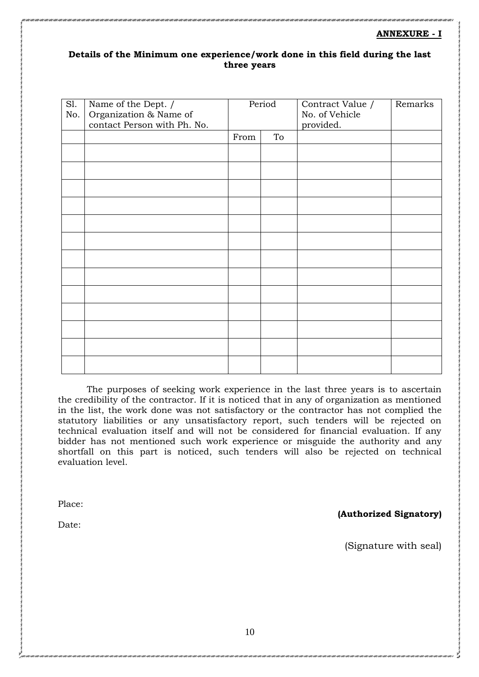### **ANNEXURE - I**

### **Details of the Minimum one experience/work done in this field during the last three years**

| Sl.<br>No. | Name of the Dept. /<br>Organization & Name of<br>contact Person with Ph. No. | Period |    | Contract Value /<br>No. of Vehicle<br>provided. | Remarks |
|------------|------------------------------------------------------------------------------|--------|----|-------------------------------------------------|---------|
|            |                                                                              | From   | To |                                                 |         |
|            |                                                                              |        |    |                                                 |         |
|            |                                                                              |        |    |                                                 |         |
|            |                                                                              |        |    |                                                 |         |
|            |                                                                              |        |    |                                                 |         |
|            |                                                                              |        |    |                                                 |         |
|            |                                                                              |        |    |                                                 |         |
|            |                                                                              |        |    |                                                 |         |
|            |                                                                              |        |    |                                                 |         |
|            |                                                                              |        |    |                                                 |         |
|            |                                                                              |        |    |                                                 |         |
|            |                                                                              |        |    |                                                 |         |
|            |                                                                              |        |    |                                                 |         |
|            |                                                                              |        |    |                                                 |         |

The purposes of seeking work experience in the last three years is to ascertain the credibility of the contractor. If it is noticed that in any of organization as mentioned in the list, the work done was not satisfactory or the contractor has not complied the statutory liabilities or any unsatisfactory report, such tenders will be rejected on technical evaluation itself and will not be considered for financial evaluation. If any bidder has not mentioned such work experience or misguide the authority and any shortfall on this part is noticed, such tenders will also be rejected on technical evaluation level.

Place:

Date:

**(Authorized Signatory)** 

(Signature with seal)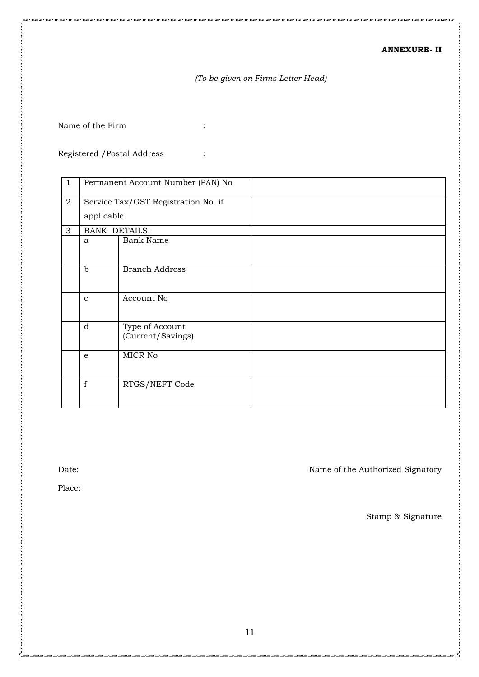### **ANNEXURE- II**

## *(To be given on Firms Letter Head)*

Name of the Firm  $\qquad \qquad :$ 

Registered /Postal Address :

| $\mathbf{1}$   |                      | Permanent Account Number (PAN) No    |
|----------------|----------------------|--------------------------------------|
| $\overline{2}$ |                      | Service Tax/GST Registration No. if  |
|                | applicable.          |                                      |
| 3              | <b>BANK DETAILS:</b> |                                      |
|                | a                    | <b>Bank Name</b>                     |
|                | $\mathbf b$          | <b>Branch Address</b>                |
|                | $\mathbf{C}$         | Account No                           |
|                | d                    | Type of Account<br>(Current/Savings) |
|                | e                    | MICR No                              |
|                | $\mathbf f$          | RTGS/NEFT Code                       |

Date: Name of the Authorized Signatory

Place:

Stamp & Signature

5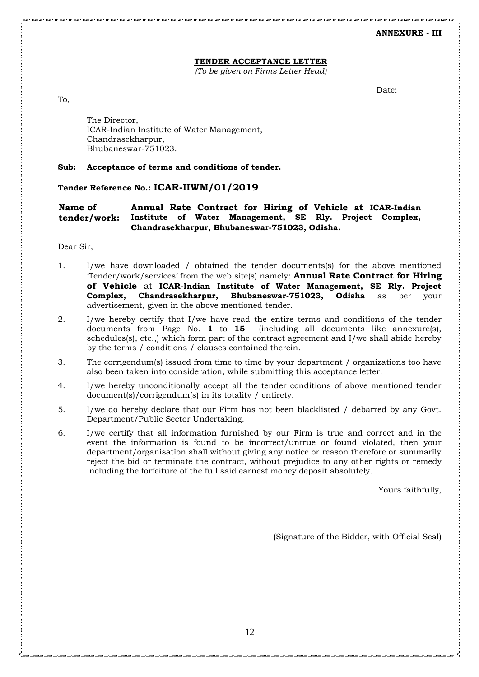**ANNEXURE - III**

### **TENDER ACCEPTANCE LETTER**

*(To be given on Firms Letter Head)*

Date:

To,

The Director, ICAR-Indian Institute of Water Management, Chandrasekharpur, Bhubaneswar-751023.

### **Sub: Acceptance of terms and conditions of tender.**

### **Tender Reference No.: ICAR-IIWM/01/2019**

**Name of tender/work: Annual Rate Contract for Hiring of Vehicle at ICAR-Indian Institute of Water Management, SE Rly. Project Complex, Chandrasekharpur, Bhubaneswar-751023, Odisha.**

Dear Sir,

- 1. I/we have downloaded / obtained the tender documents(s) for the above mentioned 'Tender/work/services' from the web site(s) namely: **Annual Rate Contract for Hiring of Vehicle** at **ICAR-Indian Institute of Water Management, SE Rly. Project Complex, Chandrasekharpur, Bhubaneswar-751023, Odisha** as per your advertisement, given in the above mentioned tender.
- 2. I/we hereby certify that I/we have read the entire terms and conditions of the tender documents from Page No. **1** to **15** (including all documents like annexure(s), schedules(s), etc.,) which form part of the contract agreement and I/we shall abide hereby by the terms / conditions / clauses contained therein.
- 3. The corrigendum(s) issued from time to time by your department / organizations too have also been taken into consideration, while submitting this acceptance letter.
- 4. I/we hereby unconditionally accept all the tender conditions of above mentioned tender document(s)/corrigendum(s) in its totality / entirety.
- 5. I/we do hereby declare that our Firm has not been blacklisted / debarred by any Govt. Department/Public Sector Undertaking.
- 6. I/we certify that all information furnished by our Firm is true and correct and in the event the information is found to be incorrect/untrue or found violated, then your department/organisation shall without giving any notice or reason therefore or summarily reject the bid or terminate the contract, without prejudice to any other rights or remedy including the forfeiture of the full said earnest money deposit absolutely.

Yours faithfully,

(Signature of the Bidder, with Official Seal)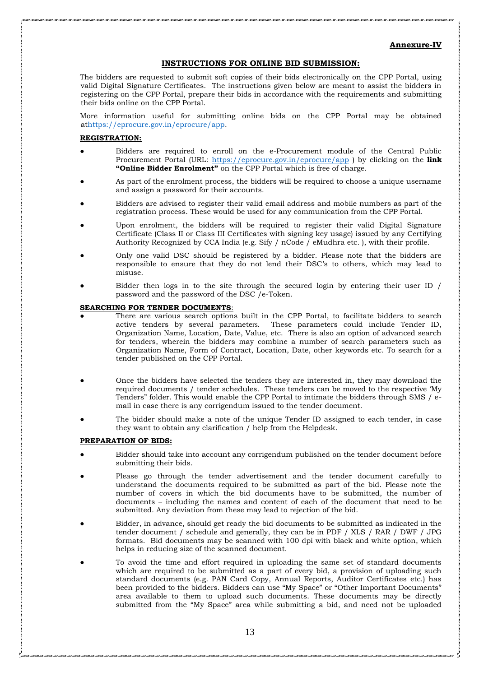### **Annexure-IV**

### **INSTRUCTIONS FOR ONLINE BID SUBMISSION:**

The bidders are requested to submit soft copies of their bids electronically on the CPP Portal, using valid Digital Signature Certificates. The instructions given below are meant to assist the bidders in registering on the CPP Portal, prepare their bids in accordance with the requirements and submitting their bids online on the CPP Portal.

More information useful for submitting online bids on the CPP Portal may be obtained a[thttps://eprocure.gov.in/eprocure/app.](https://eprocure.gov.in/eprocure/app)

### **REGISTRATION:**

- Bidders are required to enroll on the e-Procurement module of the Central Public Procurement Portal (URL:<https://eprocure.gov.in/eprocure/app> ) by clicking on the **link "Online Bidder Enrolment"** on the CPP Portal which is free of charge.
- As part of the enrolment process, the bidders will be required to choose a unique username and assign a password for their accounts.
- Bidders are advised to register their valid email address and mobile numbers as part of the registration process. These would be used for any communication from the CPP Portal.
- Upon enrolment, the bidders will be required to register their valid Digital Signature Certificate (Class II or Class III Certificates with signing key usage) issued by any Certifying Authority Recognized by CCA India (e.g. Sify / nCode / eMudhra etc. ), with their profile.
- Only one valid DSC should be registered by a bidder. Please note that the bidders are responsible to ensure that they do not lend their DSC's to others, which may lead to misuse.
- Bidder then logs in to the site through the secured login by entering their user ID / password and the password of the DSC /e-Token.

### **SEARCHING FOR TENDER DOCUMENTS**:

- There are various search options built in the CPP Portal, to facilitate bidders to search active tenders by several parameters. These parameters could include Tender ID, Organization Name, Location, Date, Value, etc. There is also an option of advanced search for tenders, wherein the bidders may combine a number of search parameters such as Organization Name, Form of Contract, Location, Date, other keywords etc. To search for a tender published on the CPP Portal.
- Once the bidders have selected the tenders they are interested in, they may download the required documents / tender schedules. These tenders can be moved to the respective 'My Tenders" folder. This would enable the CPP Portal to intimate the bidders through SMS / email in case there is any corrigendum issued to the tender document.
- The bidder should make a note of the unique Tender ID assigned to each tender, in case they want to obtain any clarification / help from the Helpdesk.

### **PREPARATION OF BIDS:**

- Bidder should take into account any corrigendum published on the tender document before submitting their bids.
- Please go through the tender advertisement and the tender document carefully to understand the documents required to be submitted as part of the bid. Please note the number of covers in which the bid documents have to be submitted, the number of documents – including the names and content of each of the document that need to be submitted. Any deviation from these may lead to rejection of the bid.
- Bidder, in advance, should get ready the bid documents to be submitted as indicated in the tender document / schedule and generally, they can be in PDF / XLS / RAR / DWF / JPG formats. Bid documents may be scanned with 100 dpi with black and white option, which helps in reducing size of the scanned document.
- To avoid the time and effort required in uploading the same set of standard documents which are required to be submitted as a part of every bid, a provision of uploading such standard documents (e.g. PAN Card Copy, Annual Reports, Auditor Certificates etc.) has been provided to the bidders. Bidders can use "My Space" or "Other Important Documents" area available to them to upload such documents. These documents may be directly submitted from the "My Space" area while submitting a bid, and need not be uploaded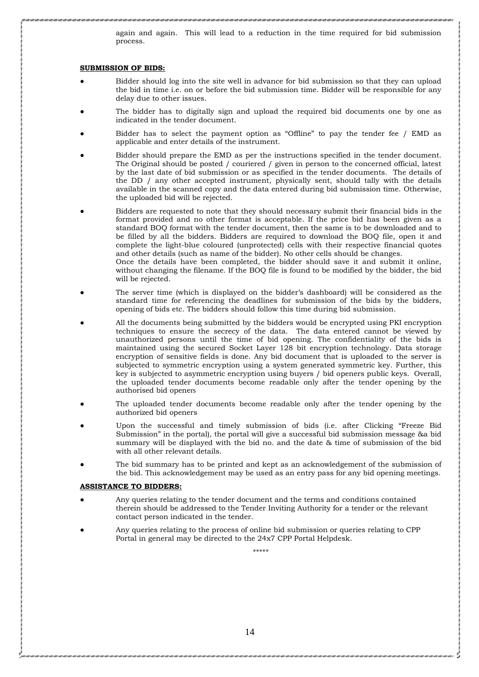again and again. This will lead to a reduction in the time required for bid submission process.

#### **SUBMISSION OF BIDS:**

- Bidder should log into the site well in advance for bid submission so that they can upload the bid in time i.e. on or before the bid submission time. Bidder will be responsible for any delay due to other issues.
- The bidder has to digitally sign and upload the required bid documents one by one as indicated in the tender document.
- Bidder has to select the payment option as "Offline" to pay the tender fee  $/$  EMD as applicable and enter details of the instrument.
- Bidder should prepare the EMD as per the instructions specified in the tender document. The Original should be posted / couriered / given in person to the concerned official, latest by the last date of bid submission or as specified in the tender documents. The details of the DD / any other accepted instrument, physically sent, should tally with the details available in the scanned copy and the data entered during bid submission time. Otherwise, the uploaded bid will be rejected.
- Bidders are requested to note that they should necessary submit their financial bids in the format provided and no other format is acceptable. If the price bid has been given as a standard BOQ format with the tender document, then the same is to be downloaded and to be filled by all the bidders. Bidders are required to download the BOQ file, open it and complete the light-blue coloured (unprotected) cells with their respective financial quotes and other details (such as name of the bidder). No other cells should be changes. Once the details have been completed, the bidder should save it and submit it online, without changing the filename. If the BOQ file is found to be modified by the bidder, the bid will be rejected.
- The server time (which is displayed on the bidder's dashboard) will be considered as the standard time for referencing the deadlines for submission of the bids by the bidders, opening of bids etc. The bidders should follow this time during bid submission.
- All the documents being submitted by the bidders would be encrypted using PKI encryption techniques to ensure the secrecy of the data. The data entered cannot be viewed by unauthorized persons until the time of bid opening. The confidentiality of the bids is maintained using the secured Socket Layer 128 bit encryption technology. Data storage encryption of sensitive fields is done. Any bid document that is uploaded to the server is subjected to symmetric encryption using a system generated symmetric key. Further, this key is subjected to asymmetric encryption using buyers / bid openers public keys. Overall, the uploaded tender documents become readable only after the tender opening by the authorised bid openers
- The uploaded tender documents become readable only after the tender opening by the authorized bid openers
- Upon the successful and timely submission of bids (i.e. after Clicking "Freeze Bid Submission" in the portal), the portal will give a successful bid submission message &a bid summary will be displayed with the bid no. and the date & time of submission of the bid with all other relevant details.
- The bid summary has to be printed and kept as an acknowledgement of the submission of the bid. This acknowledgement may be used as an entry pass for any bid opening meetings.

#### **ASSISTANCE TO BIDDERS:**

- Any queries relating to the tender document and the terms and conditions contained therein should be addressed to the Tender Inviting Authority for a tender or the relevant contact person indicated in the tender.
- Any queries relating to the process of online bid submission or queries relating to CPP Portal in general may be directed to the 24x7 CPP Portal Helpdesk.

\*\*\*\*\*